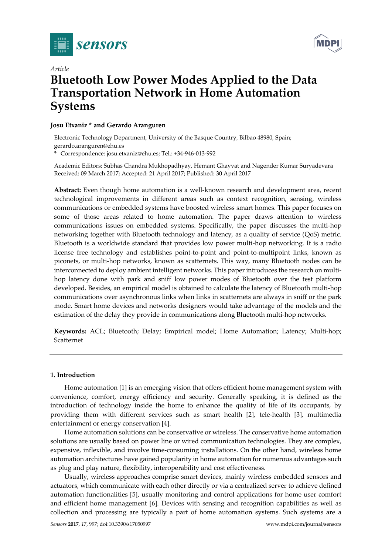



# *Article* **Bluetooth Low Power Modes Applied to the Data Transportation Network in Home Automation Systems**

# **Josu Etxaniz \* and Gerardo Aranguren**

Electronic Technology Department, University of the Basque Country, Bilbao 48980, Spain; gerardo.aranguren@ehu.es

**\*** Correspondence: josu.etxaniz@ehu.es; Tel.: +34-946-013-992

Academic Editors: Subhas Chandra Mukhopadhyay, Hemant Ghayvat and Nagender Kumar Suryadevara Received: 09 March 2017; Accepted: 21 April 2017; Published: 30 April 2017

**Abstract:** Even though home automation is a well-known research and development area, recent technological improvements in different areas such as context recognition, sensing, wireless communications or embedded systems have boosted wireless smart homes. This paper focuses on some of those areas related to home automation. The paper draws attention to wireless communications issues on embedded systems. Specifically, the paper discusses the multi-hop networking together with Bluetooth technology and latency, as a quality of service (QoS) metric. Bluetooth is a worldwide standard that provides low power multi-hop networking. It is a radio license free technology and establishes point-to-point and point-to-multipoint links, known as piconets, or multi-hop networks, known as scatternets. This way, many Bluetooth nodes can be interconnected to deploy ambient intelligent networks. This paper introduces the research on multihop latency done with park and sniff low power modes of Bluetooth over the test platform developed. Besides, an empirical model is obtained to calculate the latency of Bluetooth multi-hop communications over asynchronous links when links in scatternets are always in sniff or the park mode. Smart home devices and networks designers would take advantage of the models and the estimation of the delay they provide in communications along Bluetooth multi-hop networks.

**Keywords:** ACL; Bluetooth; Delay; Empirical model; Home Automation; Latency; Multi-hop; Scatternet

## **1. Introduction**

Home automation [1] is an emerging vision that offers efficient home management system with convenience, comfort, energy efficiency and security. Generally speaking, it is defined as the introduction of technology inside the home to enhance the quality of life of its occupants, by providing them with different services such as smart health [2], tele-health [3], multimedia entertainment or energy conservation [4].

Home automation solutions can be conservative or wireless. The conservative home automation solutions are usually based on power line or wired communication technologies. They are complex, expensive, inflexible, and involve time-consuming installations. On the other hand, wireless home automation architectures have gained popularity in home automation for numerous advantages such as plug and play nature, flexibility, interoperability and cost effectiveness.

Usually, wireless approaches comprise smart devices, mainly wireless embedded sensors and actuators, which communicate with each other directly or via a centralized server to achieve defined automation functionalities [5], usually monitoring and control applications for home user comfort and efficient home management [6]. Devices with sensing and recognition capabilities as well as collection and processing are typically a part of home automation systems. Such systems are a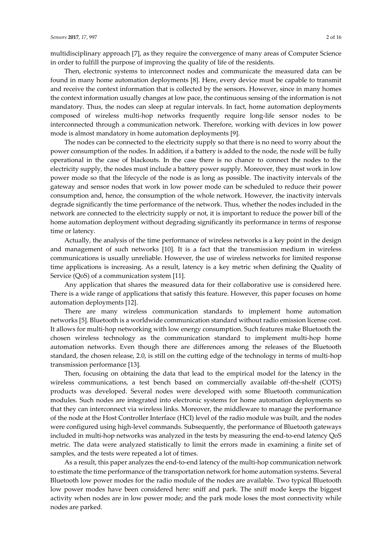multidisciplinary approach [7], as they require the convergence of many areas of Computer Science in order to fulfill the purpose of improving the quality of life of the residents.

Then, electronic systems to interconnect nodes and communicate the measured data can be found in many home automation deployments [8]. Here, every device must be capable to transmit and receive the context information that is collected by the sensors. However, since in many homes the context information usually changes at low pace, the continuous sensing of the information is not mandatory. Thus, the nodes can sleep at regular intervals. In fact, home automation deployments composed of wireless multi-hop networks frequently require long-life sensor nodes to be interconnected through a communication network. Therefore, working with devices in low power mode is almost mandatory in home automation deployments [9].

The nodes can be connected to the electricity supply so that there is no need to worry about the power consumption of the nodes. In addition, if a battery is added to the node, the node will be fully operational in the case of blackouts. In the case there is no chance to connect the nodes to the electricity supply, the nodes must include a battery power supply. Moreover, they must work in low power mode so that the lifecycle of the node is as long as possible. The inactivity intervals of the gateway and sensor nodes that work in low power mode can be scheduled to reduce their power consumption and, hence, the consumption of the whole network. However, the inactivity intervals degrade significantly the time performance of the network. Thus, whether the nodes included in the network are connected to the electricity supply or not, it is important to reduce the power bill of the home automation deployment without degrading significantly its performance in terms of response time or latency.

Actually, the analysis of the time performance of wireless networks is a key point in the design and management of such networks [10]. It is a fact that the transmission medium in wireless communications is usually unreliable. However, the use of wireless networks for limited response time applications is increasing. As a result, latency is a key metric when defining the Quality of Service (QoS) of a communication system [11].

Any application that shares the measured data for their collaborative use is considered here. There is a wide range of applications that satisfy this feature. However, this paper focuses on home automation deployments [12].

There are many wireless communication standards to implement home automation networks [5]. Bluetooth is a worldwide communication standard without radio emission license cost. It allows for multi-hop networking with low energy consumption. Such features make Bluetooth the chosen wireless technology as the communication standard to implement multi-hop home automation networks. Even though there are differences among the releases of the Bluetooth standard, the chosen release, 2.0, is still on the cutting edge of the technology in terms of multi-hop transmission performance [13].

Then, focusing on obtaining the data that lead to the empirical model for the latency in the wireless communications, a test bench based on commercially available off-the-shelf (COTS) products was developed. Several nodes were developed with some Bluetooth communication modules. Such nodes are integrated into electronic systems for home automation deployments so that they can interconnect via wireless links. Moreover, the middleware to manage the performance of the node at the Host Controller Interface (HCI) level of the radio module was built, and the nodes were configured using high-level commands. Subsequently, the performance of Bluetooth gateways included in multi-hop networks was analyzed in the tests by measuring the end-to-end latency QoS metric. The data were analyzed statistically to limit the errors made in examining a finite set of samples, and the tests were repeated a lot of times.

As a result, this paper analyzes the end-to-end latency of the multi-hop communication network to estimate the time performance of the transportation network for home automation systems. Several Bluetooth low power modes for the radio module of the nodes are available. Two typical Bluetooth low power modes have been considered here: sniff and park. The sniff mode keeps the biggest activity when nodes are in low power mode; and the park mode loses the most connectivity while nodes are parked.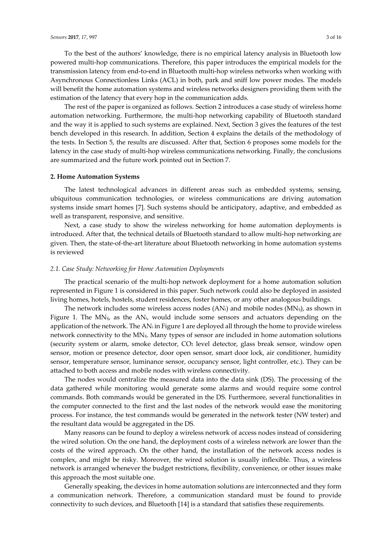To the best of the authors' knowledge, there is no empirical latency analysis in Bluetooth low powered multi-hop communications. Therefore, this paper introduces the empirical models for the transmission latency from end-to-end in Bluetooth multi-hop wireless networks when working with Asynchronous Connectionless Links (ACL) in both, park and sniff low power modes. The models will benefit the home automation systems and wireless networks designers providing them with the estimation of the latency that every hop in the communication adds.

The rest of the paper is organized as follows. Section 2 introduces a case study of wireless home automation networking. Furthermore, the multi-hop networking capability of Bluetooth standard and the way it is applied to such systems are explained. Next, Section 3 gives the features of the test bench developed in this research. In addition, Section 4 explains the details of the methodology of the tests. In Section 5, the results are discussed. After that, Section 6 proposes some models for the latency in the case study of multi-hop wireless communications networking. Finally, the conclusions are summarized and the future work pointed out in Section 7.

#### **2. Home Automation Systems**

The latest technological advances in different areas such as embedded systems, sensing, ubiquitous communication technologies, or wireless communications are driving automation systems inside smart homes [7]. Such systems should be anticipatory, adaptive, and embedded as well as transparent, responsive, and sensitive.

Next, a case study to show the wireless networking for home automation deployments is introduced. After that, the technical details of Bluetooth standard to allow multi-hop networking are given. Then, the state-of-the-art literature about Bluetooth networking in home automation systems is reviewed

#### *2.1. Case Study: Networking for Home Automation Deployments*

The practical scenario of the multi-hop network deployment for a home automation solution represented in Figure 1 is considered in this paper. Such network could also be deployed in assisted living homes, hotels, hostels, student residences, foster homes, or any other analogous buildings.

The network includes some wireless access nodes  $(AN_i)$  and mobile nodes  $(MN_i)$ , as shown in Figure 1. The MNi<sub>j</sub>, as the AN<sub>i</sub>, would include some sensors and actuators depending on the application of the network. The AN<sup>i</sup> in Figure 1 are deployed all through the home to provide wireless network connectivity to the MNij. Many types of sensor are included in home automation solutions (security system or alarm, smoke detector, CO<sup>2</sup> level detector, glass break sensor, window open sensor, motion or presence detector, door open sensor, smart door lock, air conditioner, humidity sensor, temperature sensor, luminance sensor, occupancy sensor, light controller, etc.). They can be attached to both access and mobile nodes with wireless connectivity.

The nodes would centralize the measured data into the data sink (DS). The processing of the data gathered while monitoring would generate some alarms and would require some control commands. Both commands would be generated in the DS. Furthermore, several functionalities in the computer connected to the first and the last nodes of the network would ease the monitoring process. For instance, the test commands would be generated in the network tester (NW tester) and the resultant data would be aggregated in the DS.

Many reasons can be found to deploy a wireless network of access nodes instead of considering the wired solution. On the one hand, the deployment costs of a wireless network are lower than the costs of the wired approach. On the other hand, the installation of the network access nodes is complex, and might be risky. Moreover, the wired solution is usually inflexible. Thus, a wireless network is arranged whenever the budget restrictions, flexibility, convenience, or other issues make this approach the most suitable one.

Generally speaking, the devices in home automation solutions are interconnected and they form a communication network. Therefore, a communication standard must be found to provide connectivity to such devices, and Bluetooth [14] is a standard that satisfies these requirements.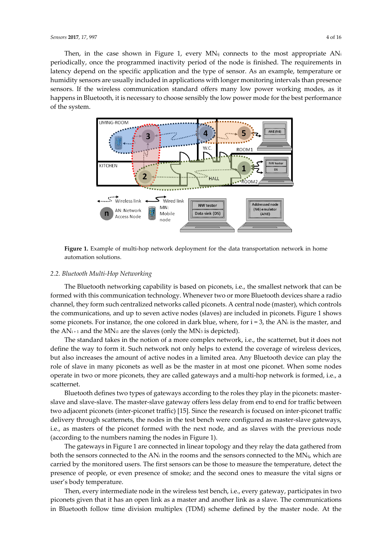Then, in the case shown in Figure 1, every  $MN_{ij}$  connects to the most appropriate  $AN_i$ periodically, once the programmed inactivity period of the node is finished. The requirements in latency depend on the specific application and the type of sensor. As an example, temperature or humidity sensors are usually included in applications with longer monitoring intervals than presence sensors. If the wireless communication standard offers many low power working modes, as it happens in Bluetooth, it is necessary to choose sensibly the low power mode for the best performance of the system.



**Figure 1.** Example of multi-hop network deployment for the data transportation network in home automation solutions.

#### *2.2. Bluetooth Multi-Hop Networking*

The Bluetooth networking capability is based on piconets, i.e., the smallest network that can be formed with this communication technology. Whenever two or more Bluetooth devices share a radio channel, they form such centralized networks called piconets. A central node (master), which controls the communications, and up to seven active nodes (slaves) are included in piconets. Figure 1 shows some piconets. For instance, the one colored in dark blue, where, for  $i = 3$ , the AN<sub>i</sub> is the master, and the  $AN_{i+1}$  and the MN<sub>i1</sub> are the slaves (only the MN<sub>3</sub> is depicted).

The standard takes in the notion of a more complex network, i.e., the scatternet, but it does not define the way to form it. Such network not only helps to extend the coverage of wireless devices, but also increases the amount of active nodes in a limited area. Any Bluetooth device can play the role of slave in many piconets as well as be the master in at most one piconet. When some nodes operate in two or more piconets, they are called gateways and a multi-hop network is formed, i.e., a scatternet.

Bluetooth defines two types of gateways according to the roles they play in the piconets: masterslave and slave-slave. The master-slave gateway offers less delay from end to end for traffic between two adjacent piconets (inter-piconet traffic) [15]. Since the research is focused on inter-piconet traffic delivery through scatternets, the nodes in the test bench were configured as master-slave gateways, i.e., as masters of the piconet formed with the next node, and as slaves with the previous node (according to the numbers naming the nodes in Figure 1).

The gateways in Figure 1 are connected in linear topology and they relay the data gathered from both the sensors connected to the AN<sub>i</sub> in the rooms and the sensors connected to the MN<sub>ij</sub>, which are carried by the monitored users. The first sensors can be those to measure the temperature, detect the presence of people, or even presence of smoke; and the second ones to measure the vital signs or user's body temperature.

Then, every intermediate node in the wireless test bench, i.e., every gateway, participates in two piconets given that it has an open link as a master and another link as a slave. The communications in Bluetooth follow time division multiplex (TDM) scheme defined by the master node. At the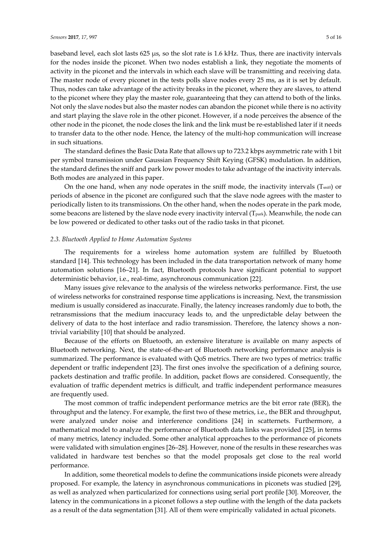baseband level, each slot lasts 625 μs, so the slot rate is 1.6 kHz. Thus, there are inactivity intervals for the nodes inside the piconet. When two nodes establish a link, they negotiate the moments of activity in the piconet and the intervals in which each slave will be transmitting and receiving data. The master node of every piconet in the tests polls slave nodes every 25 ms, as it is set by default. Thus, nodes can take advantage of the activity breaks in the piconet, where they are slaves, to attend to the piconet where they play the master role, guaranteeing that they can attend to both of the links. Not only the slave nodes but also the master nodes can abandon the piconet while there is no activity and start playing the slave role in the other piconet. However, if a node perceives the absence of the other node in the piconet, the node closes the link and the link must be re-established later if it needs to transfer data to the other node. Hence, the latency of the multi-hop communication will increase in such situations.

The standard defines the Basic Data Rate that allows up to 723.2 kbps asymmetric rate with 1 bit per symbol transmission under Gaussian Frequency Shift Keying (GFSK) modulation. In addition, the standard defines the sniff and park low power modes to take advantage of the inactivity intervals. Both modes are analyzed in this paper.

On the one hand, when any node operates in the sniff mode, the inactivity intervals  $(T_{\text{sniff}})$  or periods of absence in the piconet are configured such that the slave node agrees with the master to periodically listen to its transmissions. On the other hand, when the nodes operate in the park mode, some beacons are listened by the slave node every inactivity interval  $(T_{\text{park}})$ . Meanwhile, the node can be low powered or dedicated to other tasks out of the radio tasks in that piconet.

#### *2.3. Bluetooth Applied to Home Automation Systems*

The requirements for a wireless home automation system are fulfilled by Bluetooth standard [14]. This technology has been included in the data transportation network of many home automation solutions [16–21]. In fact, Bluetooth protocols have significant potential to support deterministic behavior, i.e., real-time, asynchronous communication [22].

Many issues give relevance to the analysis of the wireless networks performance. First, the use of wireless networks for constrained response time applications is increasing. Next, the transmission medium is usually considered as inaccurate. Finally, the latency increases randomly due to both, the retransmissions that the medium inaccuracy leads to, and the unpredictable delay between the delivery of data to the host interface and radio transmission. Therefore, the latency shows a nontrivial variability [10] that should be analyzed.

Because of the efforts on Bluetooth, an extensive literature is available on many aspects of Bluetooth networking. Next, the state-of-the-art of Bluetooth networking performance analysis is summarized. The performance is evaluated with QoS metrics. There are two types of metrics: traffic dependent or traffic independent [23]. The first ones involve the specification of a defining source, packets destination and traffic profile. In addition, packet flows are considered. Consequently, the evaluation of traffic dependent metrics is difficult, and traffic independent performance measures are frequently used.

The most common of traffic independent performance metrics are the bit error rate (BER), the throughput and the latency. For example, the first two of these metrics, i.e., the BER and throughput, were analyzed under noise and interference conditions [24] in scatternets. Furthermore, a mathematical model to analyze the performance of Bluetooth data links was provided [25], in terms of many metrics, latency included. Some other analytical approaches to the performance of piconets were validated with simulation engines [26–28]. However, none of the results in these researches was validated in hardware test benches so that the model proposals get close to the real world performance.

In addition, some theoretical models to define the communications inside piconets were already proposed. For example, the latency in asynchronous communications in piconets was studied [29], as well as analyzed when particularized for connections using serial port profile [30]. Moreover, the latency in the communications in a piconet follows a step outline with the length of the data packets as a result of the data segmentation [31]. All of them were empirically validated in actual piconets.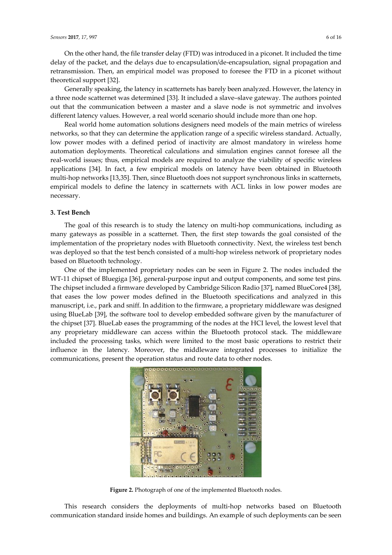On the other hand, the file transfer delay (FTD) was introduced in a piconet. It included the time delay of the packet, and the delays due to encapsulation/de-encapsulation, signal propagation and retransmission. Then, an empirical model was proposed to foresee the FTD in a piconet without theoretical support [32].

Generally speaking, the latency in scatternets has barely been analyzed. However, the latency in a three node scatternet was determined [33]. It included a slave–slave gateway. The authors pointed out that the communication between a master and a slave node is not symmetric and involves different latency values. However, a real world scenario should include more than one hop.

Real world home automation solutions designers need models of the main metrics of wireless networks, so that they can determine the application range of a specific wireless standard. Actually, low power modes with a defined period of inactivity are almost mandatory in wireless home automation deployments. Theoretical calculations and simulation engines cannot foresee all the real-world issues; thus, empirical models are required to analyze the viability of specific wireless applications [34]. In fact, a few empirical models on latency have been obtained in Bluetooth multi-hop networks [13,35]. Then, since Bluetooth does not support synchronous links in scatternets, empirical models to define the latency in scatternets with ACL links in low power modes are necessary.

# **3. Test Bench**

The goal of this research is to study the latency on multi-hop communications, including as many gateways as possible in a scatternet. Then, the first step towards the goal consisted of the implementation of the proprietary nodes with Bluetooth connectivity. Next, the wireless test bench was deployed so that the test bench consisted of a multi-hop wireless network of proprietary nodes based on Bluetooth technology.

One of the implemented proprietary nodes can be seen in Figure 2. The nodes included the WT-11 chipset of Bluegiga [36], general-purpose input and output components, and some test pins. The chipset included a firmware developed by Cambridge Silicon Radio [37], named BlueCore4 [38], that eases the low power modes defined in the Bluetooth specifications and analyzed in this manuscript, i.e., park and sniff. In addition to the firmware, a proprietary middleware was designed using BlueLab [39], the software tool to develop embedded software given by the manufacturer of the chipset [37]. BlueLab eases the programming of the nodes at the HCI level, the lowest level that any proprietary middleware can access within the Bluetooth protocol stack. The middleware included the processing tasks, which were limited to the most basic operations to restrict their influence in the latency. Moreover, the middleware integrated processes to initialize the communications, present the operation status and route data to other nodes.



**Figure 2.** Photograph of one of the implemented Bluetooth nodes.

This research considers the deployments of multi-hop networks based on Bluetooth communication standard inside homes and buildings. An example of such deployments can be seen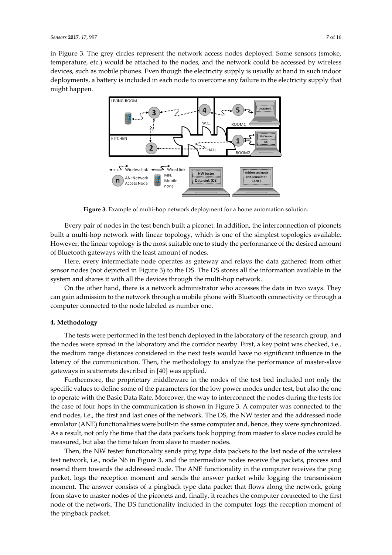in Figure 3. The grey circles represent the network access nodes deployed. Some sensors (smoke, temperature, etc.) would be attached to the nodes, and the network could be accessed by wireless devices, such as mobile phones. Even though the electricity supply is usually at hand in such indoor deployments, a battery is included in each node to overcome any failure in the electricity supply that might happen.



**Figure 3.** Example of multi-hop network deployment for a home automation solution.

Every pair of nodes in the test bench built a piconet. In addition, the interconnection of piconets built a multi-hop network with linear topology, which is one of the simplest topologies available. However, the linear topology is the most suitable one to study the performance of the desired amount of Bluetooth gateways with the least amount of nodes.

Here, every intermediate node operates as gateway and relays the data gathered from other sensor nodes (not depicted in Figure 3) to the DS. The DS stores all the information available in the system and shares it with all the devices through the multi-hop network.

On the other hand, there is a network administrator who accesses the data in two ways. They can gain admission to the network through a mobile phone with Bluetooth connectivity or through a computer connected to the node labeled as number one.

#### **4. Methodology**

The tests were performed in the test bench deployed in the laboratory of the research group, and the nodes were spread in the laboratory and the corridor nearby. First, a key point was checked, i.e., the medium range distances considered in the next tests would have no significant influence in the latency of the communication. Then, the methodology to analyze the performance of master-slave gateways in scatternets described in [40] was applied.

Furthermore, the proprietary middleware in the nodes of the test bed included not only the specific values to define some of the parameters for the low power modes under test, but also the one to operate with the Basic Data Rate. Moreover, the way to interconnect the nodes during the tests for the case of four hops in the communication is shown in Figure 3. A computer was connected to the end nodes, i.e., the first and last ones of the network. The DS, the NW tester and the addressed node emulator (ANE) functionalities were built-in the same computer and, hence, they were synchronized. As a result, not only the time that the data packets took hopping from master to slave nodes could be measured, but also the time taken from slave to master nodes.

Then, the NW tester functionality sends ping type data packets to the last node of the wireless test network, i.e., node N6 in Figure 3, and the intermediate nodes receive the packets, process and resend them towards the addressed node. The ANE functionality in the computer receives the ping packet, logs the reception moment and sends the answer packet while logging the transmission moment. The answer consists of a pingback type data packet that flows along the network, going from slave to master nodes of the piconets and, finally, it reaches the computer connected to the first node of the network. The DS functionality included in the computer logs the reception moment of the pingback packet.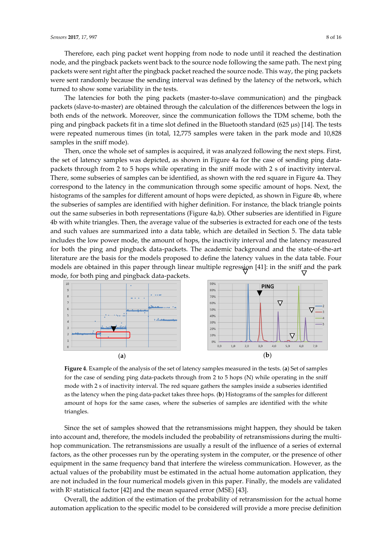Therefore, each ping packet went hopping from node to node until it reached the destination node, and the pingback packets went back to the source node following the same path. The next ping packets were sent right after the pingback packet reached the source node. This way, the ping packets were sent randomly because the sending interval was defined by the latency of the network, which turned to show some variability in the tests.

The latencies for both the ping packets (master-to-slave communication) and the pingback packets (slave-to-master) are obtained through the calculation of the differences between the logs in both ends of the network. Moreover, since the communication follows the TDM scheme, both the ping and pingback packets fit in a time slot defined in the Bluetooth standard (625 µs) [14]. The tests were repeated numerous times (in total, 12,775 samples were taken in the park mode and 10,828 samples in the sniff mode).

Then, once the whole set of samples is acquired, it was analyzed following the next steps. First, the set of latency samples was depicted, as shown in Figure 4a for the case of sending ping datapackets through from 2 to 5 hops while operating in the sniff mode with 2 s of inactivity interval. There, some subseries of samples can be identified, as shown with the red square in Figure 4a. They correspond to the latency in the communication through some specific amount of hops. Next, the histograms of the samples for different amount of hops were depicted, as shown in Figure 4b, where the subseries of samples are identified with higher definition. For instance, the black triangle points out the same subseries in both representations (Figure 4a,b). Other subseries are identified in Figure 4b with white triangles. Then, the average value of the subseries is extracted for each one of the tests and such values are summarized into a data table, which are detailed in Section 5. The data table includes the low power mode, the amount of hops, the inactivity interval and the latency measured for both the ping and pingback data-packets. The academic background and the state-of-the-art literature are the basis for the models proposed to define the latency values in the data table. Four models are obtained in this paper through linear multiple regression [41]: in the sniff and the park mode, for both ping and pingback data-packets.



**Figure 4**. Example of the analysis of the set of latency samples measured in the tests. (**a**) Set of samples for the case of sending ping data-packets through from 2 to 5 hops (N) while operating in the sniff mode with 2 s of inactivity interval. The red square gathers the samples inside a subseries identified as the latency when the ping data-packet takes three hops. (**b**) Histograms of the samples for different amount of hops for the same cases, where the subseries of samples are identified with the white triangles.

Since the set of samples showed that the retransmissions might happen, they should be taken into account and, therefore, the models included the probability of retransmissions during the multihop communication. The retransmissions are usually a result of the influence of a series of external factors, as the other processes run by the operating system in the computer, or the presence of other equipment in the same frequency band that interfere the wireless communication. However, as the actual values of the probability must be estimated in the actual home automation application, they are not included in the four numerical models given in this paper. Finally, the models are validated with  $R<sup>2</sup>$  statistical factor [42] and the mean squared error (MSE) [43].

Overall, the addition of the estimation of the probability of retransmission for the actual home automation application to the specific model to be considered will provide a more precise definition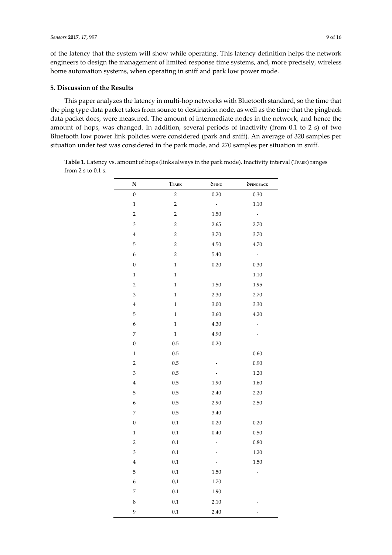of the latency that the system will show while operating. This latency definition helps the network engineers to design the management of limited response time systems, and, more precisely, wireless home automation systems, when operating in sniff and park low power mode.

# **5. Discussion of the Results**

This paper analyzes the latency in multi-hop networks with Bluetooth standard, so the time that the ping type data packet takes from source to destination node, as well as the time that the pingback data packet does, were measured. The amount of intermediate nodes in the network, and hence the amount of hops, was changed. In addition, several periods of inactivity (from 0.1 to 2 s) of two Bluetooth low power link policies were considered (park and sniff). An average of 320 samples per situation under test was considered in the park mode, and 270 samples per situation in sniff.

Table 1. Latency vs. amount of hops (links always in the park mode). Inactivity interval (TPARK) ranges from 2 s to 0.1 s.

| N                | TPARK                   | <b>OPING</b>             | <b>OPINGBACK</b>         |
|------------------|-------------------------|--------------------------|--------------------------|
| $\boldsymbol{0}$ | $\sqrt{2}$              | $0.20\,$                 | $0.30\,$                 |
| $\,1$            | $\overline{\mathbf{c}}$ | $\sim$                   | 1.10                     |
| $\overline{c}$   | $\overline{c}$          | $1.50\,$                 | $\sim$                   |
| 3                | $\,2$                   | 2.65                     | 2.70                     |
| $\bf{4}$         | $\overline{c}$          | $3.70\,$                 | $3.70\,$                 |
| 5                | $\,2$                   | 4.50                     | 4.70                     |
| $\boldsymbol{6}$ | $\overline{c}$          | $5.40\,$                 | $\sim$                   |
| $\boldsymbol{0}$ | $\,1$                   | 0.20                     | 0.30                     |
| $\mathbf{1}$     | $\mathbf{1}$            | $\sim$                   | $1.10\,$                 |
| $\overline{c}$   | $\mathbf{1}$            | 1.50                     | 1.95                     |
| 3                | $\mathbf{1}$            | 2.30                     | 2.70                     |
| $\overline{4}$   | $\mathbf 1$             | 3.00                     | 3.30                     |
| 5                | $\mathbf{1}$            | 3.60                     | 4.20                     |
| $\epsilon$       | $\,1$                   | 4.30                     | $\overline{\phantom{a}}$ |
| $\overline{7}$   | $\mathbf 1$             | 4.90                     | $\overline{\phantom{a}}$ |
| $\boldsymbol{0}$ | $0.5\,$                 | 0.20                     | $\overline{\phantom{0}}$ |
| $\mathbf{1}$     | $0.5\,$                 | $\overline{\phantom{0}}$ | $0.60\,$                 |
| $\overline{c}$   | $0.5\,$                 |                          | 0.90                     |
| 3                | $0.5\,$                 |                          | $1.20\,$                 |
| $\overline{4}$   | 0.5                     | 1.90                     | 1.60                     |
| 5                | $0.5\,$                 | 2.40                     | 2.20                     |
| $\boldsymbol{6}$ | $0.5\,$                 | 2.90                     | 2.50                     |
| $\overline{7}$   | $0.5\,$                 | $3.40\,$                 | $\sim$                   |
| $\boldsymbol{0}$ | $0.1\,$                 | 0.20                     | 0.20                     |
| $\mathbf{1}$     | 0.1                     | 0.40                     | 0.50                     |
| $\overline{c}$   | $0.1\,$                 | $\frac{1}{2}$            | $0.80\,$                 |
| 3                | 0.1                     |                          | 1.20                     |
| $\bf{4}$         | $0.1\,$                 | $\frac{1}{2}$            | 1.50                     |
| 5                | $0.1\,$                 | $1.50\,$                 | -                        |
| 6                | 0,1                     | $1.70\,$                 |                          |
| 7                | $0.1\,$                 | 1.90                     |                          |
| 8                | 0.1                     | 2.10                     |                          |
| 9                | 0.1                     | 2.40                     |                          |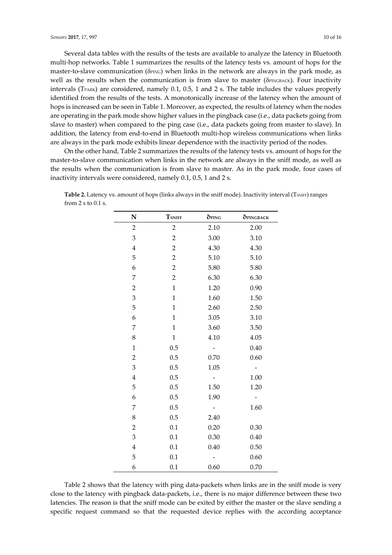Several data tables with the results of the tests are available to analyze the latency in Bluetooth multi-hop networks. Table 1 summarizes the results of the latency tests vs. amount of hops for the master-to-slave communication ( $\delta$ *PING*) when links in the network are always in the park mode, as well as the results when the communication is from slave to master ( $\delta$ PINGBACK). Four inactivity intervals (TPARK) are considered, namely 0.1, 0.5, 1 and 2 s. The table includes the values properly identified from the results of the tests. A monotonically increase of the latency when the amount of hops is increased can be seen in Table 1. Moreover, as expected, the results of latency when the nodes are operating in the park mode show higher values in the pingback case (i.e., data packets going from slave to master) when compared to the ping case (i.e., data packets going from master to slave). In addition, the latency from end-to-end in Bluetooth multi-hop wireless communications when links are always in the park mode exhibits linear dependence with the inactivity period of the nodes.

On the other hand, Table 2 summarizes the results of the latency tests vs. amount of hops for the master-to-slave communication when links in the network are always in the sniff mode, as well as the results when the communication is from slave to master. As in the park mode, four cases of inactivity intervals were considered, namely 0.1, 0.5, 1 and 2 s.

Table 2. Latency vs. amount of hops (links always in the sniff mode). Inactivity interval (TSNIFF) ranges from 2 s to 0.1 s.

| ${\bf N}$               | <b>TSNIFF</b>  | <b>OPING</b> | <b>OPINGBACK</b> |
|-------------------------|----------------|--------------|------------------|
| $\overline{2}$          | $\overline{c}$ | 2.10         | 2.00             |
| $\mathfrak 3$           | $\overline{c}$ | 3.00         | 3.10             |
| $\bf 4$                 | $\overline{c}$ | 4.30         | 4.30             |
| 5                       | $\overline{c}$ | 5.10         | 5.10             |
| 6                       | $\overline{2}$ | 5.80         | 5.80             |
| 7                       | $\overline{2}$ | 6.30         | 6.30             |
| $\overline{2}$          | $\mathbf{1}$   | 1.20         | 0.90             |
| 3                       | $\mathbf{1}$   | 1.60         | 1.50             |
| 5                       | $\mathbf{1}$   | 2.60         | 2.50             |
| 6                       | $\mathbf{1}$   | 3.05         | 3.10             |
| 7                       | $\mathbf{1}$   | 3.60         | 3.50             |
| 8                       | $\mathbf{1}$   | 4.10         | 4.05             |
| $\mathbf 1$             | 0.5            |              | 0.40             |
| $\overline{2}$          | 0.5            | 0.70         | 0.60             |
| $\mathfrak 3$           | 0.5            | 1.05         |                  |
| $\bf 4$                 | 0.5            |              | 1.00             |
| 5                       | 0.5            | 1.50         | 1.20             |
| 6                       | 0.5            | 1.90         |                  |
| 7                       | 0.5            |              | 1.60             |
| $\,8\,$                 | 0.5            | 2.40         |                  |
| $\overline{2}$          | 0.1            | 0.20         | 0.30             |
| 3                       | 0.1            | 0.30         | 0.40             |
| $\overline{\mathbf{4}}$ | 0.1            | 0.40         | 0.50             |
| 5                       | 0.1            |              | 0.60             |
| 6                       | 0.1            | 0.60         | 0.70             |

Table 2 shows that the latency with ping data-packets when links are in the sniff mode is very close to the latency with pingback data-packets, i.e., there is no major difference between these two latencies. The reason is that the sniff mode can be exited by either the master or the slave sending a specific request command so that the requested device replies with the according acceptance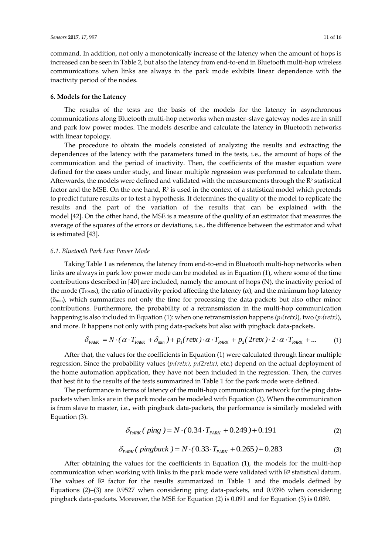command. In addition, not only a monotonically increase of the latency when the amount of hops is increased can be seen in Table 2, but also the latency from end-to-end in Bluetooth multi-hop wireless communications when links are always in the park mode exhibits linear dependence with the inactivity period of the nodes.

## **6. Models for the Latency**

The results of the tests are the basis of the models for the latency in asynchronous communications along Bluetooth multi-hop networks when master–slave gateway nodes are in sniff and park low power modes. The models describe and calculate the latency in Bluetooth networks with linear topology.

The procedure to obtain the models consisted of analyzing the results and extracting the dependences of the latency with the parameters tuned in the tests, i.e., the amount of hops of the communication and the period of inactivity. Then, the coefficients of the master equation were defined for the cases under study, and linear multiple regression was performed to calculate them. Afterwards, the models were defined and validated with the measurements through the  $R<sup>2</sup>$  statistical factor and the MSE. On the one hand,  $\mathbb{R}^2$  is used in the context of a statistical model which pretends to predict future results or to test a hypothesis. It determines the quality of the model to replicate the results and the part of the variation of the results that can be explained with the model [42]. On the other hand, the MSE is a measure of the quality of an estimator that measures the average of the squares of the errors or deviations, i.e., the difference between the estimator and what is estimated [43].

#### *6.1. Bluetooth Park Low Power Mode*

Taking Table 1 as reference, the latency from end-to-end in Bluetooth multi-hop networks when links are always in park low power mode can be modeled as in Equation (1), where some of the time contributions described in [40] are included, namely the amount of hops (N), the inactivity period of the mode (TPARK), the ratio of inactivity period affecting the latency  $(\alpha)$ , and the minimum hop latency  $(\delta_{min})$ , which summarizes not only the time for processing the data-packets but also other minor contributions. Furthermore, the probability of a retransmission in the multi-hop communication happening is also included in Equation (1): when one retransmission happens (*p1(retx)*), two (*p2(retx)*), and more. It happens not only with ping data-packets but also with pingback data-packets.

$$
\delta_{PARK} = N \cdot (\alpha \cdot T_{PARK} + \delta_{min}) + p_1(\text{retx}) \cdot \alpha \cdot T_{PARK} + p_2(2\text{retx}) \cdot 2 \cdot \alpha \cdot T_{PARK} + ... \tag{1}
$$

After that, the values for the coefficients in Equation (1) were calculated through linear multiple regression. Since the probability values (*p1(retx), p2(2retx)*, etc.) depend on the actual deployment of the home automation application, they have not been included in the regression. Then, the curves that best fit to the results of the tests summarized in Table 1 for the park mode were defined.

The performance in terms of latency of the multi-hop communication network for the ping datapackets when links are in the park mode can be modeled with Equation (2). When the communication is from slave to master, i.e., with pingback data-packets, the performance is similarly modeled with Equation (3).

$$
\delta_{PARK}(\ \ \text{ping } ) = N \cdot (0.34 \cdot T_{PARK} + 0.249) + 0.191 \tag{2}
$$

$$
\delta_{PARK}(\text{pingback}) = N \cdot (0.33 \cdot T_{PARK} + 0.265) + 0.283 \tag{3}
$$

After obtaining the values for the coefficients in Equation (1), the models for the multi-hop communication when working with links in the park mode were validated with R<sup>2</sup> statistical datum. The values of  $\mathbb{R}^2$  factor for the results summarized in Table 1 and the models defined by Equations (2)–(3) are 0.9527 when considering ping data-packets, and 0.9396 when considering pingback data-packets. Moreover, the MSE for Equation (2) is 0.091 and for Equation (3) is 0.089.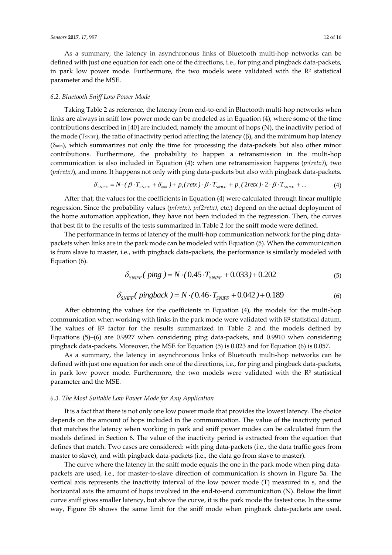As a summary, the latency in asynchronous links of Bluetooth multi-hop networks can be defined with just one equation for each one of the directions, i.e., for ping and pingback data-packets, in park low power mode. Furthermore, the two models were validated with the  $\mathbb{R}^2$  statistical parameter and the MSE.

## *6.2. Bluetooth Sniff Low Power Mode*

Taking Table 2 as reference, the latency from end-to-end in Bluetooth multi-hop networks when links are always in sniff low power mode can be modeled as in Equation (4), where some of the time contributions described in [40] are included, namely the amount of hops (N), the inactivity period of the mode ( $T_{SNIFF}$ ), the ratio of inactivity period affecting the latency ( $\beta$ ), and the minimum hop latency  $(\delta_{min})$ , which summarizes not only the time for processing the data-packets but also other minor contributions. Furthermore, the probability to happen a retransmission in the multi-hop communication is also included in Equation (4): when one retransmission happens (*p1(retx)*), two (*p2(retx)*), and more. It happens not only with ping data-packets but also with pingback data-packets.

$$
\delta_{\text{SNIFF}} = N \cdot (\beta \cdot T_{\text{SNIFF}} + \delta_{\text{min}}) + p_1(\text{retx}) \cdot \beta \cdot T_{\text{SNIFF}} + p_2(2\text{retx}) \cdot 2 \cdot \beta \cdot T_{\text{SNIFF}} + ... \tag{4}
$$

After that, the values for the coefficients in Equation (4) were calculated through linear multiple regression. Since the probability values (*p1(retx), p2(2retx)*, etc.) depend on the actual deployment of the home automation application, they have not been included in the regression. Then, the curves that best fit to the results of the tests summarized in Table 2 for the sniff mode were defined.

The performance in terms of latency of the multi-hop communication network for the ping datapackets when links are in the park mode can be modeled with Equation (5). When the communication is from slave to master, i.e., with pingback data-packets, the performance is similarly modeled with Equation (6).

$$
\delta_{\text{SNIFF}}( \text{ping } ) = N \cdot (0.45 \cdot T_{\text{SNIFF}} + 0.033) + 0.202 \tag{5}
$$

$$
\delta_{\text{SNIFF}}(\text{pingback}) = N \cdot (0.46 \cdot T_{\text{SNIFF}} + 0.042) + 0.189 \tag{6}
$$

After obtaining the values for the coefficients in Equation (4), the models for the multi-hop communication when working with links in the park mode were validated with R<sup>2</sup> statistical datum. The values of  $\mathbb{R}^2$  factor for the results summarized in Table 2 and the models defined by Equations (5)–(6) are 0.9927 when considering ping data-packets, and 0.9910 when considering pingback data-packets. Moreover, the MSE for Equation (5) is 0.023 and for Equation (6) is 0.057.

As a summary, the latency in asynchronous links of Bluetooth multi-hop networks can be defined with just one equation for each one of the directions, i.e., for ping and pingback data-packets, in park low power mode. Furthermore, the two models were validated with the  $\mathbb{R}^2$  statistical parameter and the MSE.

#### *6.3. The Most Suitable Low Power Mode for Any Application*

It is a fact that there is not only one low power mode that provides the lowest latency. The choice depends on the amount of hops included in the communication. The value of the inactivity period that matches the latency when working in park and sniff power modes can be calculated from the models defined in Section 6. The value of the inactivity period is extracted from the equation that defines that match. Two cases are considered: with ping data-packets (i.e., the data traffic goes from master to slave), and with pingback data-packets (i.e., the data go from slave to master).

The curve where the latency in the sniff mode equals the one in the park mode when ping datapackets are used, i.e., for master-to-slave direction of communication is shown in Figure 5a. The vertical axis represents the inactivity interval of the low power mode (T) measured in s, and the horizontal axis the amount of hops involved in the end-to-end communication (N). Below the limit curve sniff gives smaller latency, but above the curve, it is the park mode the fastest one. In the same way, Figure 5b shows the same limit for the sniff mode when pingback data-packets are used.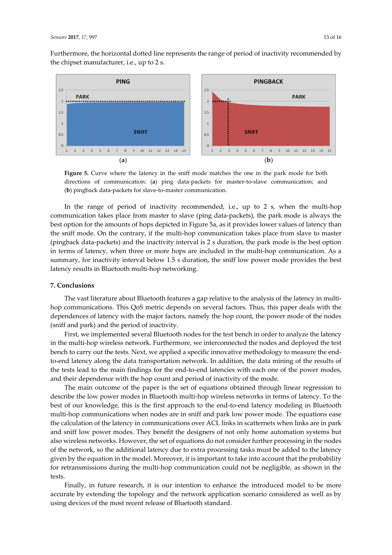Furthermore, the horizontal dotted line represents the range of period of inactivity recommended by the chipset manufacturer, i.e., up to 2 s.



**Figure 5.** Curve where the latency in the sniff mode matches the one in the park mode for both directions of communication: (**a**) ping data-packets for master-to-slave communication; and (**b**) pingback data-packets for slave-to-master communication.

In the range of period of inactivity recommended, i.e., up to 2 s, when the multi-hop communication takes place from master to slave (ping data-packets), the park mode is always the best option for the amounts of hops depicted in Figure 5a, as it provides lower values of latency than the sniff mode. On the contrary, if the multi-hop communication takes place from slave to master (pingback data-packets) and the inactivity interval is 2 s duration, the park mode is the best option in terms of latency, when three or more hops are included in the multi-hop communication. As a summary, for inactivity interval below 1.5 s duration, the sniff low power mode provides the best latency results in Bluetooth multi-hop networking.

## **7. Conclusions**

The vast literature about Bluetooth features a gap relative to the analysis of the latency in multihop communications. This QoS metric depends on several factors. Thus, this paper deals with the dependences of latency with the major factors, namely the hop count, the power mode of the nodes (sniff and park) and the period of inactivity.

First, we implemented several Bluetooth nodes for the test bench in order to analyze the latency in the multi-hop wireless network. Furthermore, we interconnected the nodes and deployed the test bench to carry out the tests. Next, we applied a specific innovative methodology to measure the endto-end latency along the data transportation network. In addition, the data mining of the results of the tests lead to the main findings for the end-to-end latencies with each one of the power modes, and their dependence with the hop count and period of inactivity of the mode.

The main outcome of the paper is the set of equations obtained through linear regression to describe the low power modes in Bluetooth multi-hop wireless networks in terms of latency. To the best of our knowledge, this is the first approach to the end-to-end latency modeling in Bluetooth multi-hop communications when nodes are in sniff and park low power mode. The equations ease the calculation of the latency in communications over ACL links in scatternets when links are in park and sniff low power modes. They benefit the designers of not only home automation systems but also wireless networks. However, the set of equations do not consider further processing in the nodes of the network, so the additional latency due to extra processing tasks must be added to the latency given by the equation in the model. Moreover, it is important to take into account that the probability for retransmissions during the multi-hop communication could not be negligible, as shown in the tests.

Finally, in future research, it is our intention to enhance the introduced model to be more accurate by extending the topology and the network application scenario considered as well as by using devices of the most recent release of Bluetooth standard.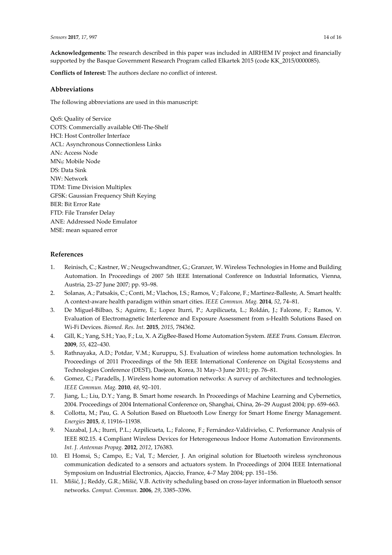**Acknowledgements:** The research described in this paper was included in AIRHEM IV project and financially supported by the Basque Government Research Program called Elkartek 2015 (code KK\_2015/0000085).

**Conflicts of Interest:** The authors declare no conflict of interest.

### **Abbreviations**

The following abbreviations are used in this manuscript:

QoS: Quality of Service COTS: Commercially available Off-The-Shelf HCI: Host Controller Interface ACL: Asynchronous Connectionless Links ANi: Access Node MNij: Mobile Node DS: Data Sink NW: Network TDM: Time Division Multiplex GFSK: Gaussian Frequency Shift Keying BER: Bit Error Rate FTD: File Transfer Delay ANE: Addressed Node Emulator MSE: mean squared error

## **References**

- 1. Reinisch, C.; Kastner, W.; Neugschwandtner, G.; Granzer, W. Wireless Technologies in Home and Building Automation. In Proceedings of 2007 5th IEEE International Conference on Industrial Informatics, Vienna, Austria, 23–27 June 2007; pp. 93–98.
- 2. Solanas, A.; Patsakis, C.; Conti, M.; Vlachos, I.S.; Ramos, V.; Falcone, F.; Martinez-Balleste, A. Smart health: A context-aware health paradigm within smart cities. *IEEE Commun. Mag.* **2014**, *52*, 74–81.
- 3. De Miguel-Bilbao, S.; Aguirre, E.; Lopez Iturri, P.; Azpilicueta, L.; Roldán, J.; Falcone, F.; Ramos, V. Evaluation of Electromagnetic Interference and Exposure Assessment from s-Health Solutions Based on Wi-Fi Devices. *Biomed. Res. Int.* **2015**, *2015*, 784362.
- 4. Gill, K.; Yang, S.H.; Yao, F.; Lu, X. A ZigBee-Based Home Automation System*. IEEE Trans. Consum. Electron.* **2009**, *55*, 422–430.
- 5. Rathnayaka, A.D.; Potdar, V.M.; Kuruppu, S.J. Evaluation of wireless home automation technologies. In Proceedings of 2011 Proceedings of the 5th IEEE International Conference on Digital Ecosystems and Technologies Conference (DEST), Daejeon, Korea, 31 May–3 June 2011; pp. 76–81.
- 6. Gomez, C.; Paradells, J. Wireless home automation networks: A survey of architectures and technologies. *IEEE Commun. Mag.* **2010**, *48*, 92–101.
- 7. Jiang, L.; Liu, D.Y.; Yang, B. Smart home research. In Proceedings of Machine Learning and Cybernetics, 2004. Proceedings of 2004 International Conference on, Shanghai, China, 26–29 August 2004; pp. 659–663.
- 8. Collotta, M.; Pau, G. A Solution Based on Bluetooth Low Energy for Smart Home Energy Management. *Energies* **2015**, *8*, 11916–11938.
- 9. Nazabal, J.A.; Iturri, P.L.; Azpilicueta, L.; Falcone, F.; Fernández-Valdivielso, C. Performance Analysis of IEEE 802.15. 4 Compliant Wireless Devices for Heterogeneous Indoor Home Automation Environments. *Int. J. Antennas Propag.* **2012**, *2012*, 176383.
- 10. El Homsi, S.; Campo, E.; Val, T.; Mercier, J. An original solution for Bluetooth wireless synchronous communication dedicated to a sensors and actuators system. In Proceedings of 2004 IEEE International Symposium on Industrial Electronics, Ajaccio, France, 4–7 May 2004; pp. 151–156.
- 11. Mišić, J.; Reddy, G.R.; Mišić, V.B. Activity scheduling based on cross-layer information in Bluetooth sensor networks. *Comput. Commun.* **2006**, *29*, 3385–3396.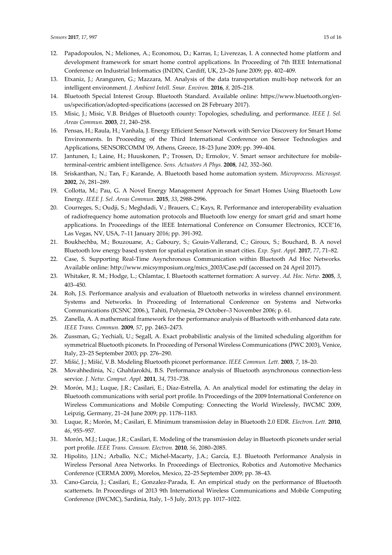- 12. Papadopoulos, N.; Meliones, A.; Economou, D.; Karras, I.; Liverezas, I. A connected home platform and development framework for smart home control applications. In Proceeding of 7th IEEE International Conference on Industrial Informatics (INDIN, Cardiff, UK, 23–26 June 2009; pp. 402–409.
- 13. Etxaniz, J.; Aranguren, G.; Mazzara, M. Analysis of the data transportation multi-hop network for an intelligent environment. *J. Ambient Intell. Smar. Environ.* **2016**, *8,* 205–218.
- 14. Bluetooth Special Interest Group. Bluetooth Standard. Available online: https://www.bluetooth.org/enus/specification/adopted-specifications (accessed on 28 February 2017).
- 15. Misic, J.; Misic, V.B. Bridges of Bluetooth county: Topologies, scheduling, and performance. *IEEE J. Sel. Areas Commun.* **2003**, *21*, 240–258.
- 16. Pensas, H.; Raula, H.; Vanhala, J. Energy Efficient Sensor Network with Service Discovery for Smart Home Environments. In Proceeding of the Third International Conference on Sensor Technologies and Applications, SENSORCOMM '09, Athens, Greece, 18–23 June 2009; pp. 399–404.
- 17. Jantunen, I.; Laine, H.; Huuskonen, P.; Trossen, D.; Ermolov, V. Smart sensor architecture for mobileterminal-centric ambient intelligence. *Sens. Actuators A Phys.* **2008**, *142,* 352–360.
- 18. Sriskanthan, N.; Tan, F.; Karande, A. Bluetooth based home automation system. *Microprocess. Microsyst.* **2002**, *26*, 281–289.
- 19. Collotta, M.; Pau, G. A Novel Energy Management Approach for Smart Homes Using Bluetooth Low Energy. *IEEE J. Sel. Areas Commun.* **2015**, *33*, 2988-2996.
- 20. Courreges, S.; Oudji, S.; Meghdadi, V.; Brauers, C.; Kays, R. Performance and interoperability evaluation of radiofrequency home automation protocols and Bluetooth low energy for smart grid and smart home applications. In Proceedings of the IEEE International Conference on Consumer Electronics, ICCE'16, Las Vegas, NV, USA, 7–11 January 2016; pp. 391-392.
- 21. Boukhechba, M.; Bouzouane, A.; Gaboury, S.; Gouin-Vallerand, C.; Giroux, S.; Bouchard, B. A novel Bluetooth low energy based system for spatial exploration in smart cities. *Exp. Syst. Appl.* **2017**, *77*, 71–82.
- 22. Case, S. Supporting Real-Time Asynchronous Communication within Bluetooth Ad Hoc Networks. Available online: http://www.micsymposium.org/mics\_2003/Case.pdf (accessed on 24 April 2017).
- 23. Whitaker, R. M.; Hodge, L.; Chlamtac, I. Bluetooth scatternet formation: A survey. *Ad. Hoc. Netw.* **2005**, *3*, 403–450.
- 24. Roh, J.S. Performance analysis and evaluation of Bluetooth networks in wireless channel environment. Systems and Networks. In Proceeding of International Conference on Systems and Networks Communications (ICSNC 2006.), Tahiti, Polynesia, 29 October–3 November 2006; p. 61.
- 25. Zanella, A. A mathematical framework for the performance analysis of Bluetooth with enhanced data rate. *IEEE Trans. Commun.* **2009**, *57*, pp. 2463–2473.
- 26. Zussman, G.; Yechiali, U.; Segall, A. Exact probabilistic analysis of the limited scheduling algorithm for symmetrical Bluetooth piconets. In Proceeding of Personal Wireless Communications (PWC 2003), Venice, Italy, 23–25 September 2003; pp. 276–290.
- 27. Mišić, J.; Mišić, V.B. Modeling Bluetooth piconet performance. *IEEE Commun. Lett.* **2003**, *7*, 18–20.
- 28. Movahhedinia, N.; Ghahfarokhi, B.S. Performance analysis of Bluetooth asynchronous connection-less service. *J. Netw. Comput. Appl.* **2011**, *34*, 731–738.
- 29. Morón, M.J.; Luque, J.R.; Casilari, E.; Díaz-Estrella, A. An analytical model for estimating the delay in Bluetooth communications with serial port profile. In Proceedings of the 2009 International Conference on Wireless Communications and Mobile Computing: Connecting the World Wirelessly, IWCMC 2009, Leipzig, Germany, 21–24 June 2009; pp. 1178–1183.
- 30. Luque, R.; Morón, M.; Casilari, E. Minimum transmission delay in Bluetooth 2.0 EDR. *Electron. Lett.* **2010**, *46*, 955–957.
- 31. Morón, M.J.; Luque, J.R.; Casilari, E. Modeling of the transmission delay in Bluetooth piconets under serial port profile. *IEEE Trans. Consum. Electron.* **2010**, *56*, 2080–2085.
- 32. Hipolito, J.I.N.; Arballo, N.C.; Michel-Macarty, J.A.; García, E.J. Bluetooth Performance Analysis in Wireless Personal Area Networks. In Proceedings of Electronics, Robotics and Automotive Mechanics Conference (CERMA 2009), Morelos, Mexico, 22–25 September 2009; pp. 38–43.
- 33. Cano-García, J.; Casilari, E.; Gonzalez-Parada, E. An empirical study on the performance of Bluetooth scatternets. In Proceedings of 2013 9th International Wireless Communications and Mobile Computing Conference (IWCMC), Sardinia, Italy, 1–5 July, 2013; pp. 1017–1022.